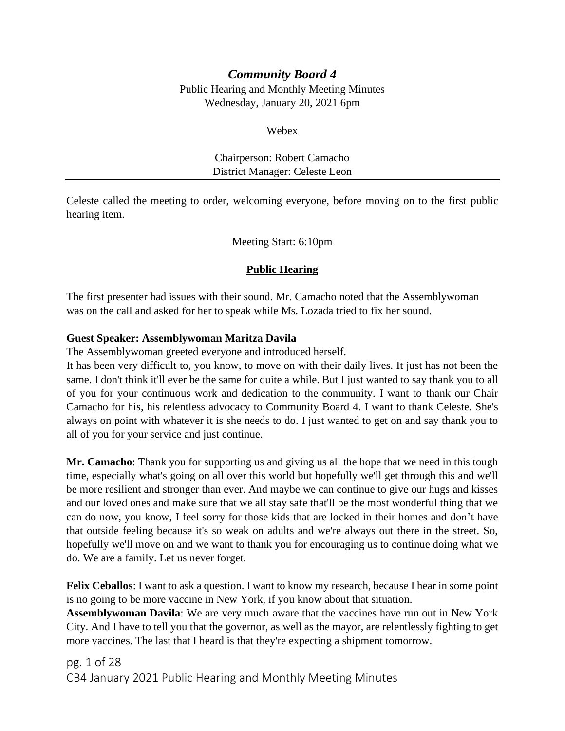# *Community Board 4*

Public Hearing and Monthly Meeting Minutes Wednesday, January 20, 2021 6pm

Webex

## Chairperson: Robert Camacho District Manager: Celeste Leon

Celeste called the meeting to order, welcoming everyone, before moving on to the first public hearing item.

Meeting Start: 6:10pm

## **Public Hearing**

The first presenter had issues with their sound. Mr. Camacho noted that the Assemblywoman was on the call and asked for her to speak while Ms. Lozada tried to fix her sound.

## **Guest Speaker: Assemblywoman Maritza Davila**

The Assemblywoman greeted everyone and introduced herself.

It has been very difficult to, you know, to move on with their daily lives. It just has not been the same. I don't think it'll ever be the same for quite a while. But I just wanted to say thank you to all of you for your continuous work and dedication to the community. I want to thank our Chair Camacho for his, his relentless advocacy to Community Board 4. I want to thank Celeste. She's always on point with whatever it is she needs to do. I just wanted to get on and say thank you to all of you for your service and just continue.

**Mr. Camacho**: Thank you for supporting us and giving us all the hope that we need in this tough time, especially what's going on all over this world but hopefully we'll get through this and we'll be more resilient and stronger than ever. And maybe we can continue to give our hugs and kisses and our loved ones and make sure that we all stay safe that'll be the most wonderful thing that we can do now, you know, I feel sorry for those kids that are locked in their homes and don't have that outside feeling because it's so weak on adults and we're always out there in the street. So, hopefully we'll move on and we want to thank you for encouraging us to continue doing what we do. We are a family. Let us never forget.

**Felix Ceballos**: I want to ask a question. I want to know my research, because I hear in some point is no going to be more vaccine in New York, if you know about that situation.

**Assemblywoman Davila**: We are very much aware that the vaccines have run out in New York City. And I have to tell you that the governor, as well as the mayor, are relentlessly fighting to get more vaccines. The last that I heard is that they're expecting a shipment tomorrow.

pg. 1 of 28 CB4 January 2021 Public Hearing and Monthly Meeting Minutes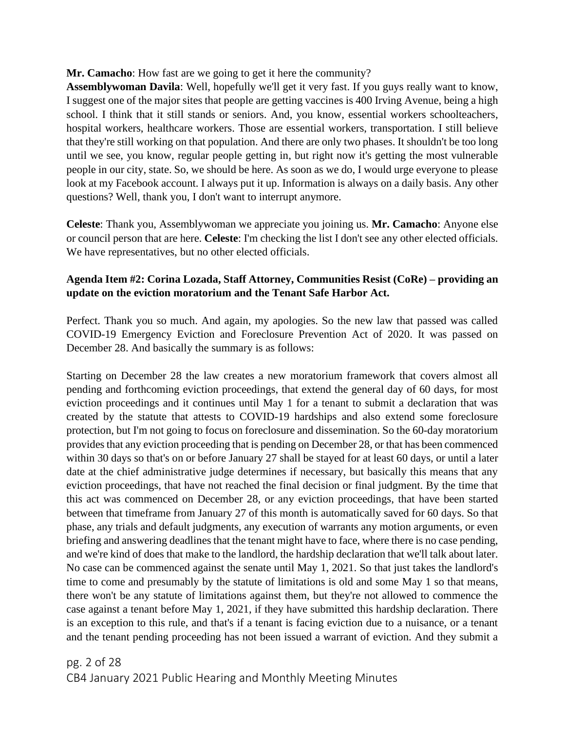## **Mr. Camacho**: How fast are we going to get it here the community?

**Assemblywoman Davila**: Well, hopefully we'll get it very fast. If you guys really want to know, I suggest one of the major sites that people are getting vaccines is 400 Irving Avenue, being a high school. I think that it still stands or seniors. And, you know, essential workers schoolteachers, hospital workers, healthcare workers. Those are essential workers, transportation. I still believe that they're still working on that population. And there are only two phases. It shouldn't be too long until we see, you know, regular people getting in, but right now it's getting the most vulnerable people in our city, state. So, we should be here. As soon as we do, I would urge everyone to please look at my Facebook account. I always put it up. Information is always on a daily basis. Any other questions? Well, thank you, I don't want to interrupt anymore.

**Celeste**: Thank you, Assemblywoman we appreciate you joining us. **Mr. Camacho**: Anyone else or council person that are here. **Celeste**: I'm checking the list I don't see any other elected officials. We have representatives, but no other elected officials.

## **Agenda Item #2: Corina Lozada, Staff Attorney, Communities Resist (CoRe) – providing an update on the eviction moratorium and the Tenant Safe Harbor Act.**

Perfect. Thank you so much. And again, my apologies. So the new law that passed was called COVID-19 Emergency Eviction and Foreclosure Prevention Act of 2020. It was passed on December 28. And basically the summary is as follows:

Starting on December 28 the law creates a new moratorium framework that covers almost all pending and forthcoming eviction proceedings, that extend the general day of 60 days, for most eviction proceedings and it continues until May 1 for a tenant to submit a declaration that was created by the statute that attests to COVID-19 hardships and also extend some foreclosure protection, but I'm not going to focus on foreclosure and dissemination. So the 60-day moratorium provides that any eviction proceeding that is pending on December 28, or that has been commenced within 30 days so that's on or before January 27 shall be stayed for at least 60 days, or until a later date at the chief administrative judge determines if necessary, but basically this means that any eviction proceedings, that have not reached the final decision or final judgment. By the time that this act was commenced on December 28, or any eviction proceedings, that have been started between that timeframe from January 27 of this month is automatically saved for 60 days. So that phase, any trials and default judgments, any execution of warrants any motion arguments, or even briefing and answering deadlines that the tenant might have to face, where there is no case pending, and we're kind of does that make to the landlord, the hardship declaration that we'll talk about later. No case can be commenced against the senate until May 1, 2021. So that just takes the landlord's time to come and presumably by the statute of limitations is old and some May 1 so that means, there won't be any statute of limitations against them, but they're not allowed to commence the case against a tenant before May 1, 2021, if they have submitted this hardship declaration. There is an exception to this rule, and that's if a tenant is facing eviction due to a nuisance, or a tenant and the tenant pending proceeding has not been issued a warrant of eviction. And they submit a

pg. 2 of 28 CB4 January 2021 Public Hearing and Monthly Meeting Minutes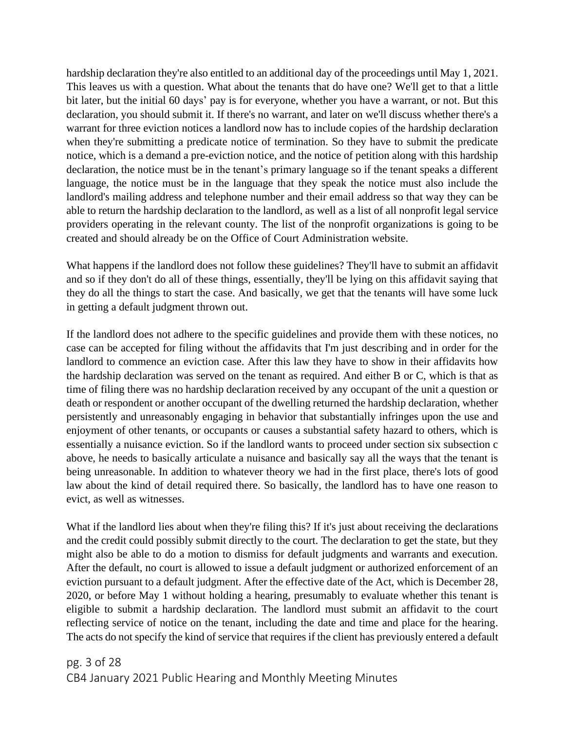hardship declaration they're also entitled to an additional day of the proceedings until May 1, 2021. This leaves us with a question. What about the tenants that do have one? We'll get to that a little bit later, but the initial 60 days' pay is for everyone, whether you have a warrant, or not. But this declaration, you should submit it. If there's no warrant, and later on we'll discuss whether there's a warrant for three eviction notices a landlord now has to include copies of the hardship declaration when they're submitting a predicate notice of termination. So they have to submit the predicate notice, which is a demand a pre-eviction notice, and the notice of petition along with this hardship declaration, the notice must be in the tenant's primary language so if the tenant speaks a different language, the notice must be in the language that they speak the notice must also include the landlord's mailing address and telephone number and their email address so that way they can be able to return the hardship declaration to the landlord, as well as a list of all nonprofit legal service providers operating in the relevant county. The list of the nonprofit organizations is going to be created and should already be on the Office of Court Administration website.

What happens if the landlord does not follow these guidelines? They'll have to submit an affidavit and so if they don't do all of these things, essentially, they'll be lying on this affidavit saying that they do all the things to start the case. And basically, we get that the tenants will have some luck in getting a default judgment thrown out.

If the landlord does not adhere to the specific guidelines and provide them with these notices, no case can be accepted for filing without the affidavits that I'm just describing and in order for the landlord to commence an eviction case. After this law they have to show in their affidavits how the hardship declaration was served on the tenant as required. And either B or C, which is that as time of filing there was no hardship declaration received by any occupant of the unit a question or death or respondent or another occupant of the dwelling returned the hardship declaration, whether persistently and unreasonably engaging in behavior that substantially infringes upon the use and enjoyment of other tenants, or occupants or causes a substantial safety hazard to others, which is essentially a nuisance eviction. So if the landlord wants to proceed under section six subsection c above, he needs to basically articulate a nuisance and basically say all the ways that the tenant is being unreasonable. In addition to whatever theory we had in the first place, there's lots of good law about the kind of detail required there. So basically, the landlord has to have one reason to evict, as well as witnesses.

What if the landlord lies about when they're filing this? If it's just about receiving the declarations and the credit could possibly submit directly to the court. The declaration to get the state, but they might also be able to do a motion to dismiss for default judgments and warrants and execution. After the default, no court is allowed to issue a default judgment or authorized enforcement of an eviction pursuant to a default judgment. After the effective date of the Act, which is December 28, 2020, or before May 1 without holding a hearing, presumably to evaluate whether this tenant is eligible to submit a hardship declaration. The landlord must submit an affidavit to the court reflecting service of notice on the tenant, including the date and time and place for the hearing. The acts do not specify the kind of service that requires if the client has previously entered a default

pg. 3 of 28 CB4 January 2021 Public Hearing and Monthly Meeting Minutes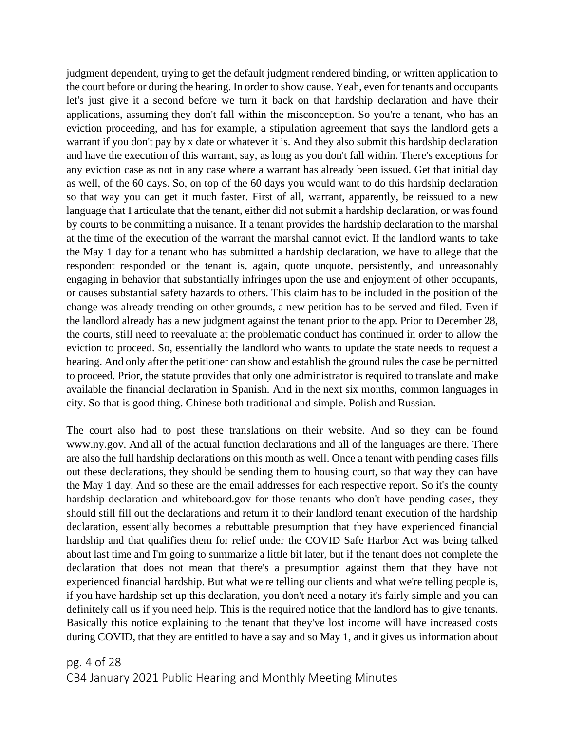judgment dependent, trying to get the default judgment rendered binding, or written application to the court before or during the hearing. In order to show cause. Yeah, even for tenants and occupants let's just give it a second before we turn it back on that hardship declaration and have their applications, assuming they don't fall within the misconception. So you're a tenant, who has an eviction proceeding, and has for example, a stipulation agreement that says the landlord gets a warrant if you don't pay by x date or whatever it is. And they also submit this hardship declaration and have the execution of this warrant, say, as long as you don't fall within. There's exceptions for any eviction case as not in any case where a warrant has already been issued. Get that initial day as well, of the 60 days. So, on top of the 60 days you would want to do this hardship declaration so that way you can get it much faster. First of all, warrant, apparently, be reissued to a new language that I articulate that the tenant, either did not submit a hardship declaration, or was found by courts to be committing a nuisance. If a tenant provides the hardship declaration to the marshal at the time of the execution of the warrant the marshal cannot evict. If the landlord wants to take the May 1 day for a tenant who has submitted a hardship declaration, we have to allege that the respondent responded or the tenant is, again, quote unquote, persistently, and unreasonably engaging in behavior that substantially infringes upon the use and enjoyment of other occupants, or causes substantial safety hazards to others. This claim has to be included in the position of the change was already trending on other grounds, a new petition has to be served and filed. Even if the landlord already has a new judgment against the tenant prior to the app. Prior to December 28, the courts, still need to reevaluate at the problematic conduct has continued in order to allow the eviction to proceed. So, essentially the landlord who wants to update the state needs to request a hearing. And only after the petitioner can show and establish the ground rules the case be permitted to proceed. Prior, the statute provides that only one administrator is required to translate and make available the financial declaration in Spanish. And in the next six months, common languages in city. So that is good thing. Chinese both traditional and simple. Polish and Russian.

The court also had to post these translations on their website. And so they can be found www.ny.gov. And all of the actual function declarations and all of the languages are there. There are also the full hardship declarations on this month as well. Once a tenant with pending cases fills out these declarations, they should be sending them to housing court, so that way they can have the May 1 day. And so these are the email addresses for each respective report. So it's the county hardship declaration and whiteboard.gov for those tenants who don't have pending cases, they should still fill out the declarations and return it to their landlord tenant execution of the hardship declaration, essentially becomes a rebuttable presumption that they have experienced financial hardship and that qualifies them for relief under the COVID Safe Harbor Act was being talked about last time and I'm going to summarize a little bit later, but if the tenant does not complete the declaration that does not mean that there's a presumption against them that they have not experienced financial hardship. But what we're telling our clients and what we're telling people is, if you have hardship set up this declaration, you don't need a notary it's fairly simple and you can definitely call us if you need help. This is the required notice that the landlord has to give tenants. Basically this notice explaining to the tenant that they've lost income will have increased costs during COVID, that they are entitled to have a say and so May 1, and it gives us information about

pg. 4 of 28 CB4 January 2021 Public Hearing and Monthly Meeting Minutes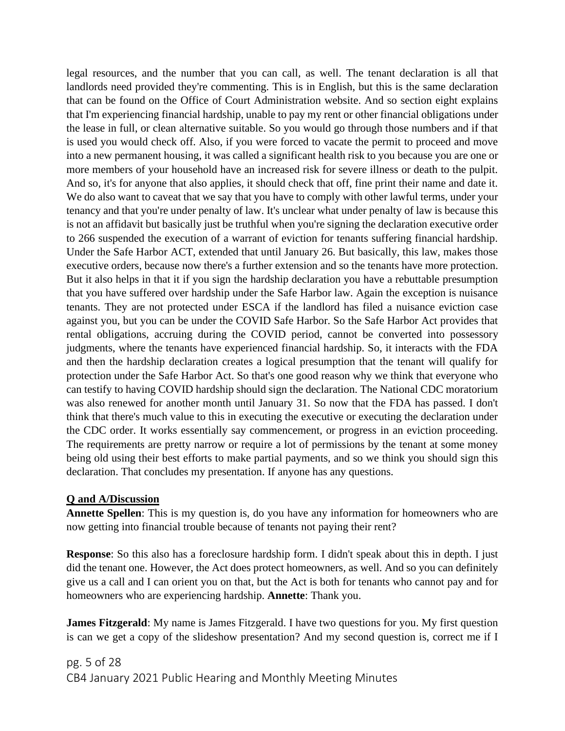legal resources, and the number that you can call, as well. The tenant declaration is all that landlords need provided they're commenting. This is in English, but this is the same declaration that can be found on the Office of Court Administration website. And so section eight explains that I'm experiencing financial hardship, unable to pay my rent or other financial obligations under the lease in full, or clean alternative suitable. So you would go through those numbers and if that is used you would check off. Also, if you were forced to vacate the permit to proceed and move into a new permanent housing, it was called a significant health risk to you because you are one or more members of your household have an increased risk for severe illness or death to the pulpit. And so, it's for anyone that also applies, it should check that off, fine print their name and date it. We do also want to caveat that we say that you have to comply with other lawful terms, under your tenancy and that you're under penalty of law. It's unclear what under penalty of law is because this is not an affidavit but basically just be truthful when you're signing the declaration executive order to 266 suspended the execution of a warrant of eviction for tenants suffering financial hardship. Under the Safe Harbor ACT, extended that until January 26. But basically, this law, makes those executive orders, because now there's a further extension and so the tenants have more protection. But it also helps in that it if you sign the hardship declaration you have a rebuttable presumption that you have suffered over hardship under the Safe Harbor law. Again the exception is nuisance tenants. They are not protected under ESCA if the landlord has filed a nuisance eviction case against you, but you can be under the COVID Safe Harbor. So the Safe Harbor Act provides that rental obligations, accruing during the COVID period, cannot be converted into possessory judgments, where the tenants have experienced financial hardship. So, it interacts with the FDA and then the hardship declaration creates a logical presumption that the tenant will qualify for protection under the Safe Harbor Act. So that's one good reason why we think that everyone who can testify to having COVID hardship should sign the declaration. The National CDC moratorium was also renewed for another month until January 31. So now that the FDA has passed. I don't think that there's much value to this in executing the executive or executing the declaration under the CDC order. It works essentially say commencement, or progress in an eviction proceeding. The requirements are pretty narrow or require a lot of permissions by the tenant at some money being old using their best efforts to make partial payments, and so we think you should sign this declaration. That concludes my presentation. If anyone has any questions.

## **Q and A/Discussion**

**Annette Spellen**: This is my question is, do you have any information for homeowners who are now getting into financial trouble because of tenants not paying their rent?

**Response**: So this also has a foreclosure hardship form. I didn't speak about this in depth. I just did the tenant one. However, the Act does protect homeowners, as well. And so you can definitely give us a call and I can orient you on that, but the Act is both for tenants who cannot pay and for homeowners who are experiencing hardship. **Annette**: Thank you.

**James Fitzgerald**: My name is James Fitzgerald. I have two questions for you. My first question is can we get a copy of the slideshow presentation? And my second question is, correct me if I

pg. 5 of 28 CB4 January 2021 Public Hearing and Monthly Meeting Minutes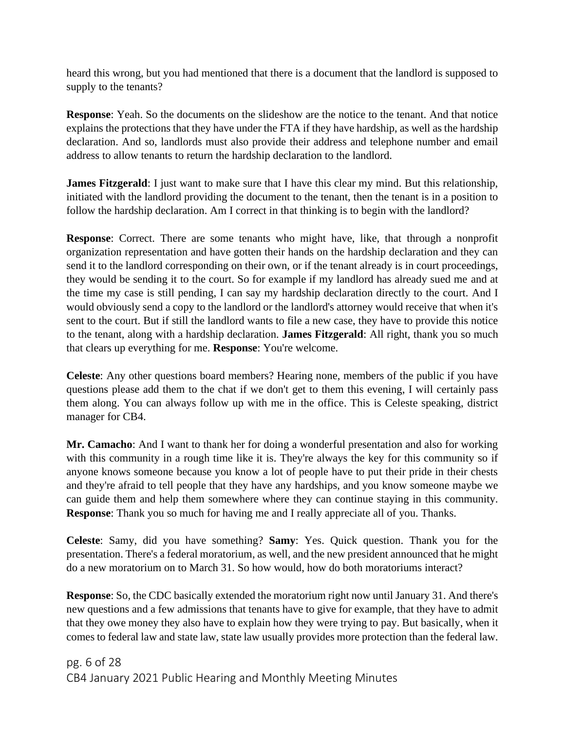heard this wrong, but you had mentioned that there is a document that the landlord is supposed to supply to the tenants?

**Response**: Yeah. So the documents on the slideshow are the notice to the tenant. And that notice explains the protections that they have under the FTA if they have hardship, as well as the hardship declaration. And so, landlords must also provide their address and telephone number and email address to allow tenants to return the hardship declaration to the landlord.

**James Fitzgerald**: I just want to make sure that I have this clear my mind. But this relationship, initiated with the landlord providing the document to the tenant, then the tenant is in a position to follow the hardship declaration. Am I correct in that thinking is to begin with the landlord?

**Response**: Correct. There are some tenants who might have, like, that through a nonprofit organization representation and have gotten their hands on the hardship declaration and they can send it to the landlord corresponding on their own, or if the tenant already is in court proceedings, they would be sending it to the court. So for example if my landlord has already sued me and at the time my case is still pending, I can say my hardship declaration directly to the court. And I would obviously send a copy to the landlord or the landlord's attorney would receive that when it's sent to the court. But if still the landlord wants to file a new case, they have to provide this notice to the tenant, along with a hardship declaration. **James Fitzgerald**: All right, thank you so much that clears up everything for me. **Response**: You're welcome.

**Celeste**: Any other questions board members? Hearing none, members of the public if you have questions please add them to the chat if we don't get to them this evening, I will certainly pass them along. You can always follow up with me in the office. This is Celeste speaking, district manager for CB4.

**Mr. Camacho**: And I want to thank her for doing a wonderful presentation and also for working with this community in a rough time like it is. They're always the key for this community so if anyone knows someone because you know a lot of people have to put their pride in their chests and they're afraid to tell people that they have any hardships, and you know someone maybe we can guide them and help them somewhere where they can continue staying in this community. **Response**: Thank you so much for having me and I really appreciate all of you. Thanks.

**Celeste**: Samy, did you have something? **Samy**: Yes. Quick question. Thank you for the presentation. There's a federal moratorium, as well, and the new president announced that he might do a new moratorium on to March 31. So how would, how do both moratoriums interact?

**Response**: So, the CDC basically extended the moratorium right now until January 31. And there's new questions and a few admissions that tenants have to give for example, that they have to admit that they owe money they also have to explain how they were trying to pay. But basically, when it comes to federal law and state law, state law usually provides more protection than the federal law.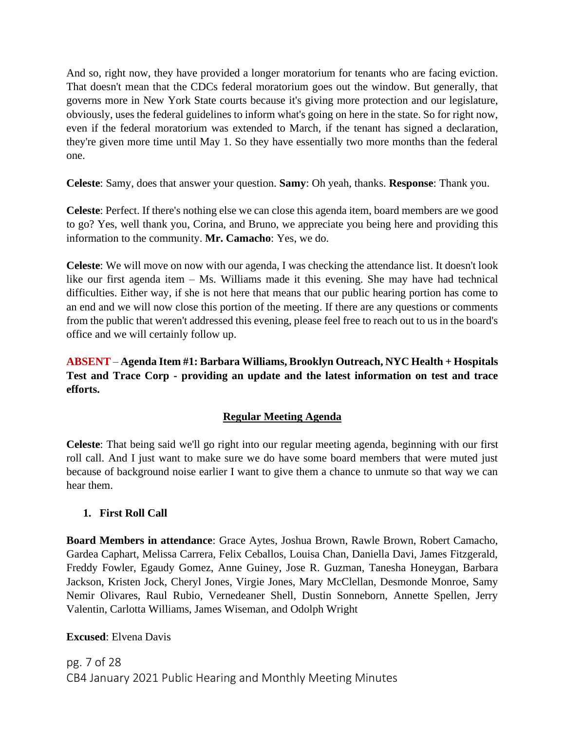And so, right now, they have provided a longer moratorium for tenants who are facing eviction. That doesn't mean that the CDCs federal moratorium goes out the window. But generally, that governs more in New York State courts because it's giving more protection and our legislature, obviously, uses the federal guidelines to inform what's going on here in the state. So for right now, even if the federal moratorium was extended to March, if the tenant has signed a declaration, they're given more time until May 1. So they have essentially two more months than the federal one.

**Celeste**: Samy, does that answer your question. **Samy**: Oh yeah, thanks. **Response**: Thank you.

**Celeste**: Perfect. If there's nothing else we can close this agenda item, board members are we good to go? Yes, well thank you, Corina, and Bruno, we appreciate you being here and providing this information to the community. **Mr. Camacho**: Yes, we do.

**Celeste**: We will move on now with our agenda, I was checking the attendance list. It doesn't look like our first agenda item – Ms. Williams made it this evening. She may have had technical difficulties. Either way, if she is not here that means that our public hearing portion has come to an end and we will now close this portion of the meeting. If there are any questions or comments from the public that weren't addressed this evening, please feel free to reach out to us in the board's office and we will certainly follow up.

**ABSENT** – **Agenda Item #1: Barbara Williams, Brooklyn Outreach, NYC Health + Hospitals Test and Trace Corp - providing an update and the latest information on test and trace efforts.**

# **Regular Meeting Agenda**

**Celeste**: That being said we'll go right into our regular meeting agenda, beginning with our first roll call. And I just want to make sure we do have some board members that were muted just because of background noise earlier I want to give them a chance to unmute so that way we can hear them.

# **1. First Roll Call**

**Board Members in attendance**: Grace Aytes, Joshua Brown, Rawle Brown, Robert Camacho, Gardea Caphart, Melissa Carrera, Felix Ceballos, Louisa Chan, Daniella Davi, James Fitzgerald, Freddy Fowler, Egaudy Gomez, Anne Guiney, Jose R. Guzman, Tanesha Honeygan, Barbara Jackson, Kristen Jock, Cheryl Jones, Virgie Jones, Mary McClellan, Desmonde Monroe, Samy Nemir Olivares, Raul Rubio, Vernedeaner Shell, Dustin Sonneborn, Annette Spellen, Jerry Valentin, Carlotta Williams, James Wiseman, and Odolph Wright

# **Excused**: Elvena Davis

pg. 7 of 28 CB4 January 2021 Public Hearing and Monthly Meeting Minutes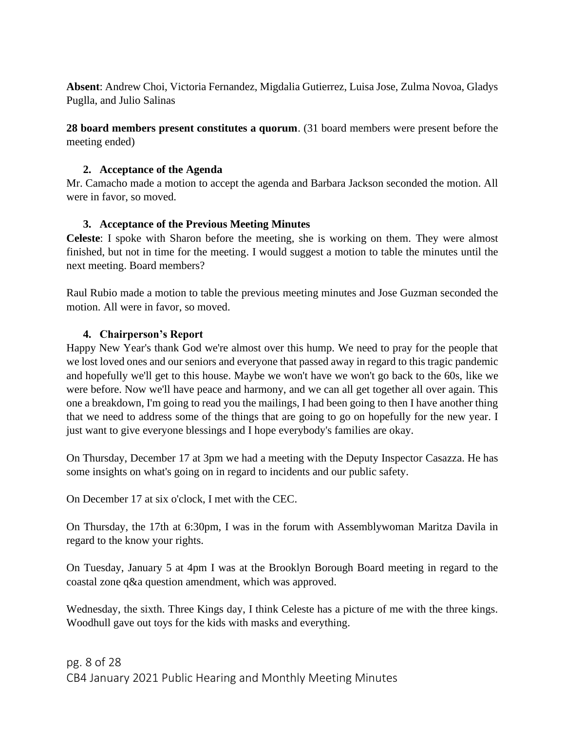**Absent**: Andrew Choi, Victoria Fernandez, Migdalia Gutierrez, Luisa Jose, Zulma Novoa, Gladys Puglla, and Julio Salinas

**28 board members present constitutes a quorum**. (31 board members were present before the meeting ended)

## **2. Acceptance of the Agenda**

Mr. Camacho made a motion to accept the agenda and Barbara Jackson seconded the motion. All were in favor, so moved.

## **3. Acceptance of the Previous Meeting Minutes**

**Celeste**: I spoke with Sharon before the meeting, she is working on them. They were almost finished, but not in time for the meeting. I would suggest a motion to table the minutes until the next meeting. Board members?

Raul Rubio made a motion to table the previous meeting minutes and Jose Guzman seconded the motion. All were in favor, so moved.

## **4. Chairperson's Report**

Happy New Year's thank God we're almost over this hump. We need to pray for the people that we lost loved ones and our seniors and everyone that passed away in regard to this tragic pandemic and hopefully we'll get to this house. Maybe we won't have we won't go back to the 60s, like we were before. Now we'll have peace and harmony, and we can all get together all over again. This one a breakdown, I'm going to read you the mailings, I had been going to then I have another thing that we need to address some of the things that are going to go on hopefully for the new year. I just want to give everyone blessings and I hope everybody's families are okay.

On Thursday, December 17 at 3pm we had a meeting with the Deputy Inspector Casazza. He has some insights on what's going on in regard to incidents and our public safety.

On December 17 at six o'clock, I met with the CEC.

On Thursday, the 17th at 6:30pm, I was in the forum with Assemblywoman Maritza Davila in regard to the know your rights.

On Tuesday, January 5 at 4pm I was at the Brooklyn Borough Board meeting in regard to the coastal zone q&a question amendment, which was approved.

Wednesday, the sixth. Three Kings day, I think Celeste has a picture of me with the three kings. Woodhull gave out toys for the kids with masks and everything.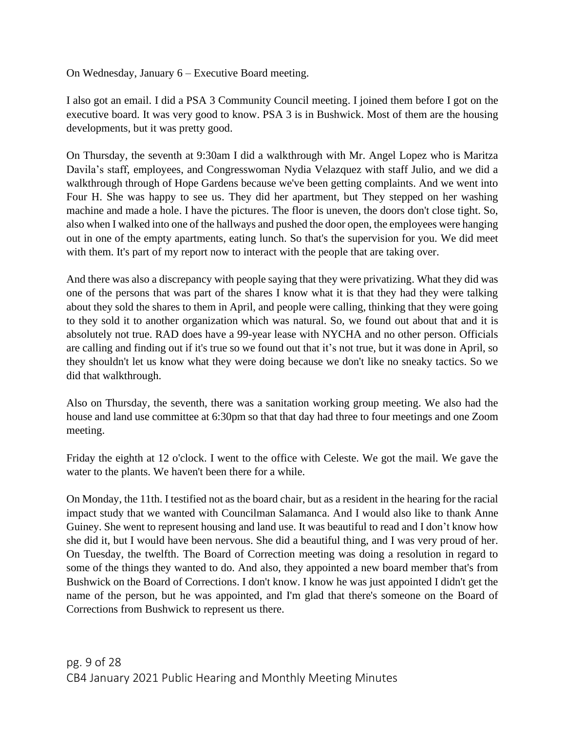On Wednesday, January 6 – Executive Board meeting.

I also got an email. I did a PSA 3 Community Council meeting. I joined them before I got on the executive board. It was very good to know. PSA 3 is in Bushwick. Most of them are the housing developments, but it was pretty good.

On Thursday, the seventh at 9:30am I did a walkthrough with Mr. Angel Lopez who is Maritza Davila's staff, employees, and Congresswoman Nydia Velazquez with staff Julio, and we did a walkthrough through of Hope Gardens because we've been getting complaints. And we went into Four H. She was happy to see us. They did her apartment, but They stepped on her washing machine and made a hole. I have the pictures. The floor is uneven, the doors don't close tight. So, also when I walked into one of the hallways and pushed the door open, the employees were hanging out in one of the empty apartments, eating lunch. So that's the supervision for you. We did meet with them. It's part of my report now to interact with the people that are taking over.

And there was also a discrepancy with people saying that they were privatizing. What they did was one of the persons that was part of the shares I know what it is that they had they were talking about they sold the shares to them in April, and people were calling, thinking that they were going to they sold it to another organization which was natural. So, we found out about that and it is absolutely not true. RAD does have a 99-year lease with NYCHA and no other person. Officials are calling and finding out if it's true so we found out that it's not true, but it was done in April, so they shouldn't let us know what they were doing because we don't like no sneaky tactics. So we did that walkthrough.

Also on Thursday, the seventh, there was a sanitation working group meeting. We also had the house and land use committee at 6:30pm so that that day had three to four meetings and one Zoom meeting.

Friday the eighth at 12 o'clock. I went to the office with Celeste. We got the mail. We gave the water to the plants. We haven't been there for a while.

On Monday, the 11th. I testified not as the board chair, but as a resident in the hearing for the racial impact study that we wanted with Councilman Salamanca. And I would also like to thank Anne Guiney. She went to represent housing and land use. It was beautiful to read and I don't know how she did it, but I would have been nervous. She did a beautiful thing, and I was very proud of her. On Tuesday, the twelfth. The Board of Correction meeting was doing a resolution in regard to some of the things they wanted to do. And also, they appointed a new board member that's from Bushwick on the Board of Corrections. I don't know. I know he was just appointed I didn't get the name of the person, but he was appointed, and I'm glad that there's someone on the Board of Corrections from Bushwick to represent us there.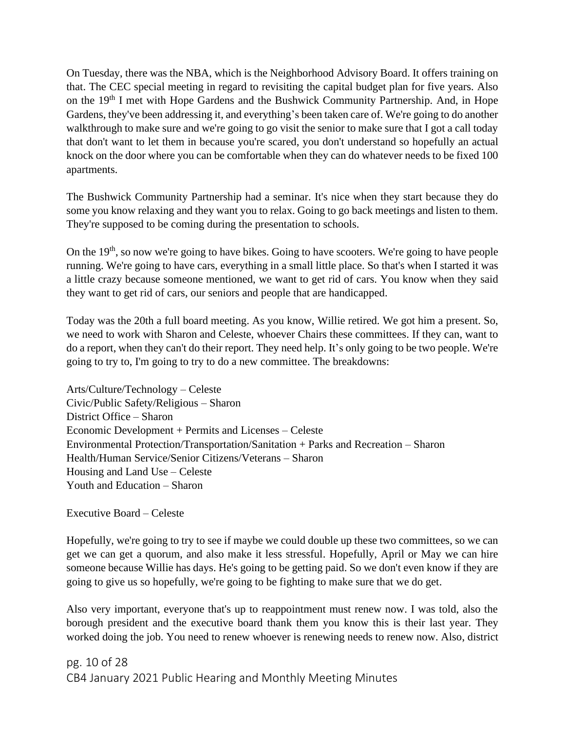On Tuesday, there was the NBA, which is the Neighborhood Advisory Board. It offers training on that. The CEC special meeting in regard to revisiting the capital budget plan for five years. Also on the 19<sup>th</sup> I met with Hope Gardens and the Bushwick Community Partnership. And, in Hope Gardens, they've been addressing it, and everything's been taken care of. We're going to do another walkthrough to make sure and we're going to go visit the senior to make sure that I got a call today that don't want to let them in because you're scared, you don't understand so hopefully an actual knock on the door where you can be comfortable when they can do whatever needs to be fixed 100 apartments.

The Bushwick Community Partnership had a seminar. It's nice when they start because they do some you know relaxing and they want you to relax. Going to go back meetings and listen to them. They're supposed to be coming during the presentation to schools.

On the 19<sup>th</sup>, so now we're going to have bikes. Going to have scooters. We're going to have people running. We're going to have cars, everything in a small little place. So that's when I started it was a little crazy because someone mentioned, we want to get rid of cars. You know when they said they want to get rid of cars, our seniors and people that are handicapped.

Today was the 20th a full board meeting. As you know, Willie retired. We got him a present. So, we need to work with Sharon and Celeste, whoever Chairs these committees. If they can, want to do a report, when they can't do their report. They need help. It's only going to be two people. We're going to try to, I'm going to try to do a new committee. The breakdowns:

Arts/Culture/Technology – Celeste Civic/Public Safety/Religious – Sharon District Office – Sharon Economic Development + Permits and Licenses – Celeste Environmental Protection/Transportation/Sanitation + Parks and Recreation – Sharon Health/Human Service/Senior Citizens/Veterans – Sharon Housing and Land Use – Celeste Youth and Education – Sharon

Executive Board – Celeste

Hopefully, we're going to try to see if maybe we could double up these two committees, so we can get we can get a quorum, and also make it less stressful. Hopefully, April or May we can hire someone because Willie has days. He's going to be getting paid. So we don't even know if they are going to give us so hopefully, we're going to be fighting to make sure that we do get.

Also very important, everyone that's up to reappointment must renew now. I was told, also the borough president and the executive board thank them you know this is their last year. They worked doing the job. You need to renew whoever is renewing needs to renew now. Also, district

pg. 10 of 28 CB4 January 2021 Public Hearing and Monthly Meeting Minutes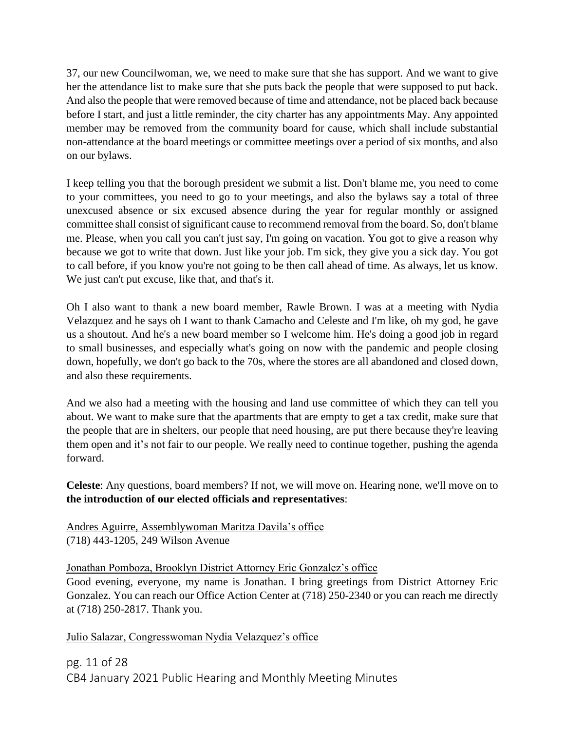37, our new Councilwoman, we, we need to make sure that she has support. And we want to give her the attendance list to make sure that she puts back the people that were supposed to put back. And also the people that were removed because of time and attendance, not be placed back because before I start, and just a little reminder, the city charter has any appointments May. Any appointed member may be removed from the community board for cause, which shall include substantial non-attendance at the board meetings or committee meetings over a period of six months, and also on our bylaws.

I keep telling you that the borough president we submit a list. Don't blame me, you need to come to your committees, you need to go to your meetings, and also the bylaws say a total of three unexcused absence or six excused absence during the year for regular monthly or assigned committee shall consist of significant cause to recommend removal from the board. So, don't blame me. Please, when you call you can't just say, I'm going on vacation. You got to give a reason why because we got to write that down. Just like your job. I'm sick, they give you a sick day. You got to call before, if you know you're not going to be then call ahead of time. As always, let us know. We just can't put excuse, like that, and that's it.

Oh I also want to thank a new board member, Rawle Brown. I was at a meeting with Nydia Velazquez and he says oh I want to thank Camacho and Celeste and I'm like, oh my god, he gave us a shoutout. And he's a new board member so I welcome him. He's doing a good job in regard to small businesses, and especially what's going on now with the pandemic and people closing down, hopefully, we don't go back to the 70s, where the stores are all abandoned and closed down, and also these requirements.

And we also had a meeting with the housing and land use committee of which they can tell you about. We want to make sure that the apartments that are empty to get a tax credit, make sure that the people that are in shelters, our people that need housing, are put there because they're leaving them open and it's not fair to our people. We really need to continue together, pushing the agenda forward.

**Celeste**: Any questions, board members? If not, we will move on. Hearing none, we'll move on to **the introduction of our elected officials and representatives**:

Andres Aguirre, Assemblywoman Maritza Davila's office (718) 443-1205, 249 Wilson Avenue

Jonathan Pomboza, Brooklyn District Attorney Eric Gonzalez's office

Good evening, everyone, my name is Jonathan. I bring greetings from District Attorney Eric Gonzalez. You can reach our Office Action Center at (718) 250-2340 or you can reach me directly at (718) 250-2817. Thank you.

Julio Salazar, Congresswoman Nydia Velazquez's office

pg. 11 of 28 CB4 January 2021 Public Hearing and Monthly Meeting Minutes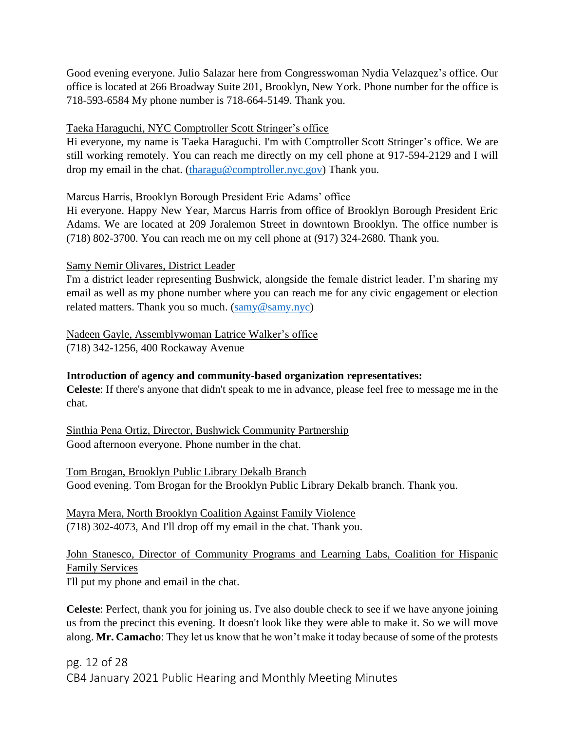Good evening everyone. Julio Salazar here from Congresswoman Nydia Velazquez's office. Our office is located at 266 Broadway Suite 201, Brooklyn, New York. Phone number for the office is 718-593-6584 My phone number is 718-664-5149. Thank you.

#### Taeka Haraguchi, NYC Comptroller Scott Stringer's office

Hi everyone, my name is Taeka Haraguchi. I'm with Comptroller Scott Stringer's office. We are still working remotely. You can reach me directly on my cell phone at 917-594-2129 and I will drop my email in the chat. [\(tharagu@comptroller.nyc.gov\)](mailto:tharagu@comptroller.nyc.gov) Thank you.

#### Marcus Harris, Brooklyn Borough President Eric Adams' office

Hi everyone. Happy New Year, Marcus Harris from office of Brooklyn Borough President Eric Adams. We are located at 209 Joralemon Street in downtown Brooklyn. The office number is (718) 802-3700. You can reach me on my cell phone at (917) 324-2680. Thank you.

#### Samy Nemir Olivares, District Leader

I'm a district leader representing Bushwick, alongside the female district leader. I'm sharing my email as well as my phone number where you can reach me for any civic engagement or election related matters. Thank you so much. [\(samy@samy.nyc\)](mailto:samy@samy.nyc)

## Nadeen Gayle, Assemblywoman Latrice Walker's office (718) 342-1256, 400 Rockaway Avenue

## **Introduction of agency and community-based organization representatives:**

**Celeste**: If there's anyone that didn't speak to me in advance, please feel free to message me in the chat.

Sinthia Pena Ortiz, Director, Bushwick Community Partnership Good afternoon everyone. Phone number in the chat.

Tom Brogan, Brooklyn Public Library Dekalb Branch Good evening. Tom Brogan for the Brooklyn Public Library Dekalb branch. Thank you.

Mayra Mera, North Brooklyn Coalition Against Family Violence (718) 302-4073, And I'll drop off my email in the chat. Thank you.

# John Stanesco, Director of Community Programs and Learning Labs, Coalition for Hispanic Family Services

I'll put my phone and email in the chat.

**Celeste**: Perfect, thank you for joining us. I've also double check to see if we have anyone joining us from the precinct this evening. It doesn't look like they were able to make it. So we will move along. **Mr. Camacho**: They let us know that he won't make it today because of some of the protests

pg. 12 of 28 CB4 January 2021 Public Hearing and Monthly Meeting Minutes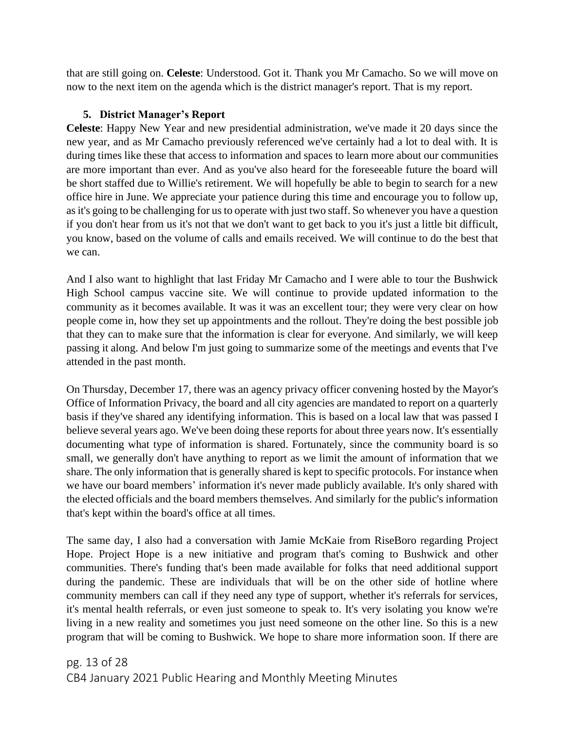that are still going on. **Celeste**: Understood. Got it. Thank you Mr Camacho. So we will move on now to the next item on the agenda which is the district manager's report. That is my report.

## **5. District Manager's Report**

**Celeste**: Happy New Year and new presidential administration, we've made it 20 days since the new year, and as Mr Camacho previously referenced we've certainly had a lot to deal with. It is during times like these that access to information and spaces to learn more about our communities are more important than ever. And as you've also heard for the foreseeable future the board will be short staffed due to Willie's retirement. We will hopefully be able to begin to search for a new office hire in June. We appreciate your patience during this time and encourage you to follow up, as it's going to be challenging for us to operate with just two staff. So whenever you have a question if you don't hear from us it's not that we don't want to get back to you it's just a little bit difficult, you know, based on the volume of calls and emails received. We will continue to do the best that we can.

And I also want to highlight that last Friday Mr Camacho and I were able to tour the Bushwick High School campus vaccine site. We will continue to provide updated information to the community as it becomes available. It was it was an excellent tour; they were very clear on how people come in, how they set up appointments and the rollout. They're doing the best possible job that they can to make sure that the information is clear for everyone. And similarly, we will keep passing it along. And below I'm just going to summarize some of the meetings and events that I've attended in the past month.

On Thursday, December 17, there was an agency privacy officer convening hosted by the Mayor's Office of Information Privacy, the board and all city agencies are mandated to report on a quarterly basis if they've shared any identifying information. This is based on a local law that was passed I believe several years ago. We've been doing these reports for about three years now. It's essentially documenting what type of information is shared. Fortunately, since the community board is so small, we generally don't have anything to report as we limit the amount of information that we share. The only information that is generally shared is kept to specific protocols. For instance when we have our board members' information it's never made publicly available. It's only shared with the elected officials and the board members themselves. And similarly for the public's information that's kept within the board's office at all times.

The same day, I also had a conversation with Jamie McKaie from RiseBoro regarding Project Hope. Project Hope is a new initiative and program that's coming to Bushwick and other communities. There's funding that's been made available for folks that need additional support during the pandemic. These are individuals that will be on the other side of hotline where community members can call if they need any type of support, whether it's referrals for services, it's mental health referrals, or even just someone to speak to. It's very isolating you know we're living in a new reality and sometimes you just need someone on the other line. So this is a new program that will be coming to Bushwick. We hope to share more information soon. If there are

pg. 13 of 28 CB4 January 2021 Public Hearing and Monthly Meeting Minutes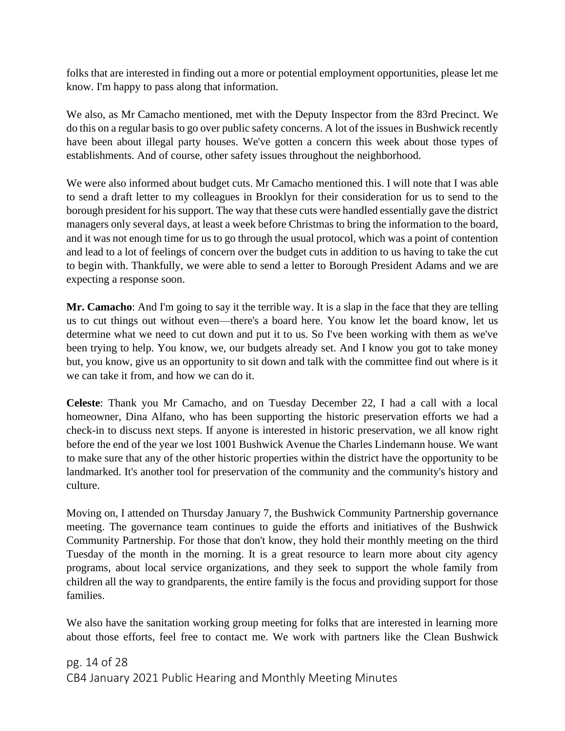folks that are interested in finding out a more or potential employment opportunities, please let me know. I'm happy to pass along that information.

We also, as Mr Camacho mentioned, met with the Deputy Inspector from the 83rd Precinct. We do this on a regular basis to go over public safety concerns. A lot of the issues in Bushwick recently have been about illegal party houses. We've gotten a concern this week about those types of establishments. And of course, other safety issues throughout the neighborhood.

We were also informed about budget cuts. Mr Camacho mentioned this. I will note that I was able to send a draft letter to my colleagues in Brooklyn for their consideration for us to send to the borough president for his support. The way that these cuts were handled essentially gave the district managers only several days, at least a week before Christmas to bring the information to the board, and it was not enough time for us to go through the usual protocol, which was a point of contention and lead to a lot of feelings of concern over the budget cuts in addition to us having to take the cut to begin with. Thankfully, we were able to send a letter to Borough President Adams and we are expecting a response soon.

**Mr. Camacho**: And I'm going to say it the terrible way. It is a slap in the face that they are telling us to cut things out without even—there's a board here. You know let the board know, let us determine what we need to cut down and put it to us. So I've been working with them as we've been trying to help. You know, we, our budgets already set. And I know you got to take money but, you know, give us an opportunity to sit down and talk with the committee find out where is it we can take it from, and how we can do it.

**Celeste**: Thank you Mr Camacho, and on Tuesday December 22, I had a call with a local homeowner, Dina Alfano, who has been supporting the historic preservation efforts we had a check-in to discuss next steps. If anyone is interested in historic preservation, we all know right before the end of the year we lost 1001 Bushwick Avenue the Charles Lindemann house. We want to make sure that any of the other historic properties within the district have the opportunity to be landmarked. It's another tool for preservation of the community and the community's history and culture.

Moving on, I attended on Thursday January 7, the Bushwick Community Partnership governance meeting. The governance team continues to guide the efforts and initiatives of the Bushwick Community Partnership. For those that don't know, they hold their monthly meeting on the third Tuesday of the month in the morning. It is a great resource to learn more about city agency programs, about local service organizations, and they seek to support the whole family from children all the way to grandparents, the entire family is the focus and providing support for those families.

We also have the sanitation working group meeting for folks that are interested in learning more about those efforts, feel free to contact me. We work with partners like the Clean Bushwick

pg. 14 of 28 CB4 January 2021 Public Hearing and Monthly Meeting Minutes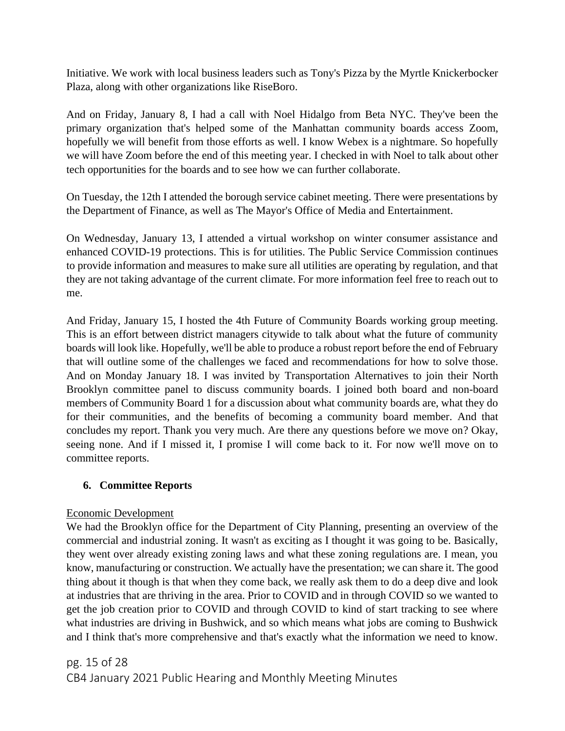Initiative. We work with local business leaders such as Tony's Pizza by the Myrtle Knickerbocker Plaza, along with other organizations like RiseBoro.

And on Friday, January 8, I had a call with Noel Hidalgo from Beta NYC. They've been the primary organization that's helped some of the Manhattan community boards access Zoom, hopefully we will benefit from those efforts as well. I know Webex is a nightmare. So hopefully we will have Zoom before the end of this meeting year. I checked in with Noel to talk about other tech opportunities for the boards and to see how we can further collaborate.

On Tuesday, the 12th I attended the borough service cabinet meeting. There were presentations by the Department of Finance, as well as The Mayor's Office of Media and Entertainment.

On Wednesday, January 13, I attended a virtual workshop on winter consumer assistance and enhanced COVID-19 protections. This is for utilities. The Public Service Commission continues to provide information and measures to make sure all utilities are operating by regulation, and that they are not taking advantage of the current climate. For more information feel free to reach out to me.

And Friday, January 15, I hosted the 4th Future of Community Boards working group meeting. This is an effort between district managers citywide to talk about what the future of community boards will look like. Hopefully, we'll be able to produce a robust report before the end of February that will outline some of the challenges we faced and recommendations for how to solve those. And on Monday January 18. I was invited by Transportation Alternatives to join their North Brooklyn committee panel to discuss community boards. I joined both board and non-board members of Community Board 1 for a discussion about what community boards are, what they do for their communities, and the benefits of becoming a community board member. And that concludes my report. Thank you very much. Are there any questions before we move on? Okay, seeing none. And if I missed it, I promise I will come back to it. For now we'll move on to committee reports.

# **6. Committee Reports**

## Economic Development

We had the Brooklyn office for the Department of City Planning, presenting an overview of the commercial and industrial zoning. It wasn't as exciting as I thought it was going to be. Basically, they went over already existing zoning laws and what these zoning regulations are. I mean, you know, manufacturing or construction. We actually have the presentation; we can share it. The good thing about it though is that when they come back, we really ask them to do a deep dive and look at industries that are thriving in the area. Prior to COVID and in through COVID so we wanted to get the job creation prior to COVID and through COVID to kind of start tracking to see where what industries are driving in Bushwick, and so which means what jobs are coming to Bushwick and I think that's more comprehensive and that's exactly what the information we need to know.

pg. 15 of 28 CB4 January 2021 Public Hearing and Monthly Meeting Minutes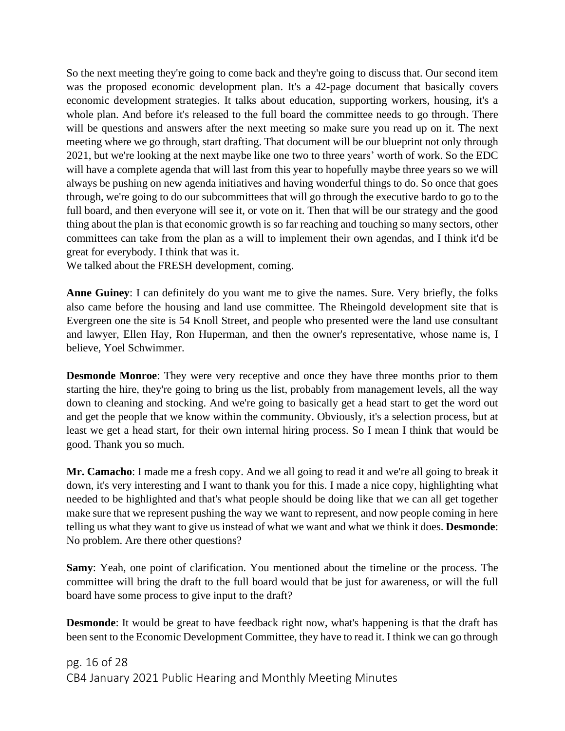So the next meeting they're going to come back and they're going to discuss that. Our second item was the proposed economic development plan. It's a 42-page document that basically covers economic development strategies. It talks about education, supporting workers, housing, it's a whole plan. And before it's released to the full board the committee needs to go through. There will be questions and answers after the next meeting so make sure you read up on it. The next meeting where we go through, start drafting. That document will be our blueprint not only through 2021, but we're looking at the next maybe like one two to three years' worth of work. So the EDC will have a complete agenda that will last from this year to hopefully maybe three years so we will always be pushing on new agenda initiatives and having wonderful things to do. So once that goes through, we're going to do our subcommittees that will go through the executive bardo to go to the full board, and then everyone will see it, or vote on it. Then that will be our strategy and the good thing about the plan is that economic growth is so far reaching and touching so many sectors, other committees can take from the plan as a will to implement their own agendas, and I think it'd be great for everybody. I think that was it.

We talked about the FRESH development, coming.

**Anne Guiney**: I can definitely do you want me to give the names. Sure. Very briefly, the folks also came before the housing and land use committee. The Rheingold development site that is Evergreen one the site is 54 Knoll Street, and people who presented were the land use consultant and lawyer, Ellen Hay, Ron Huperman, and then the owner's representative, whose name is, I believe, Yoel Schwimmer.

**Desmonde Monroe**: They were very receptive and once they have three months prior to them starting the hire, they're going to bring us the list, probably from management levels, all the way down to cleaning and stocking. And we're going to basically get a head start to get the word out and get the people that we know within the community. Obviously, it's a selection process, but at least we get a head start, for their own internal hiring process. So I mean I think that would be good. Thank you so much.

**Mr. Camacho**: I made me a fresh copy. And we all going to read it and we're all going to break it down, it's very interesting and I want to thank you for this. I made a nice copy, highlighting what needed to be highlighted and that's what people should be doing like that we can all get together make sure that we represent pushing the way we want to represent, and now people coming in here telling us what they want to give us instead of what we want and what we think it does. **Desmonde**: No problem. Are there other questions?

**Samy**: Yeah, one point of clarification. You mentioned about the timeline or the process. The committee will bring the draft to the full board would that be just for awareness, or will the full board have some process to give input to the draft?

**Desmonde**: It would be great to have feedback right now, what's happening is that the draft has been sent to the Economic Development Committee, they have to read it. I think we can go through

pg. 16 of 28 CB4 January 2021 Public Hearing and Monthly Meeting Minutes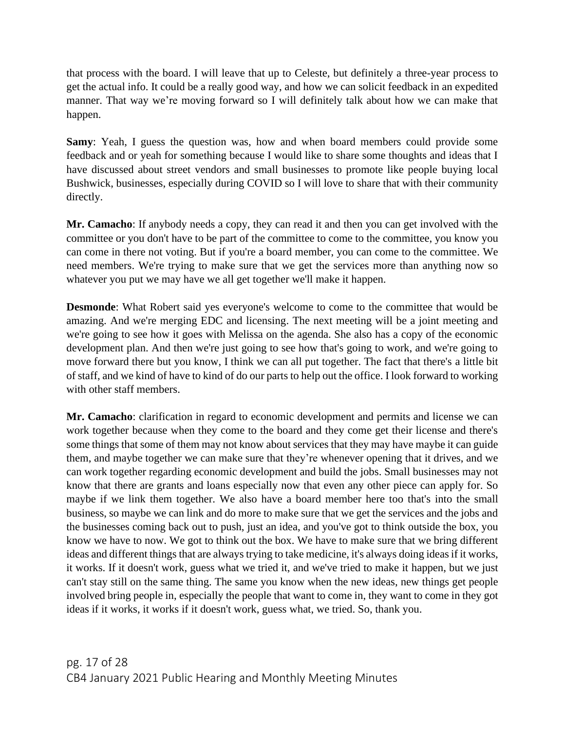that process with the board. I will leave that up to Celeste, but definitely a three-year process to get the actual info. It could be a really good way, and how we can solicit feedback in an expedited manner. That way we're moving forward so I will definitely talk about how we can make that happen.

**Samy**: Yeah, I guess the question was, how and when board members could provide some feedback and or yeah for something because I would like to share some thoughts and ideas that I have discussed about street vendors and small businesses to promote like people buying local Bushwick, businesses, especially during COVID so I will love to share that with their community directly.

**Mr. Camacho**: If anybody needs a copy, they can read it and then you can get involved with the committee or you don't have to be part of the committee to come to the committee, you know you can come in there not voting. But if you're a board member, you can come to the committee. We need members. We're trying to make sure that we get the services more than anything now so whatever you put we may have we all get together we'll make it happen.

**Desmonde**: What Robert said yes everyone's welcome to come to the committee that would be amazing. And we're merging EDC and licensing. The next meeting will be a joint meeting and we're going to see how it goes with Melissa on the agenda. She also has a copy of the economic development plan. And then we're just going to see how that's going to work, and we're going to move forward there but you know, I think we can all put together. The fact that there's a little bit of staff, and we kind of have to kind of do our parts to help out the office. I look forward to working with other staff members.

**Mr. Camacho**: clarification in regard to economic development and permits and license we can work together because when they come to the board and they come get their license and there's some things that some of them may not know about services that they may have maybe it can guide them, and maybe together we can make sure that they're whenever opening that it drives, and we can work together regarding economic development and build the jobs. Small businesses may not know that there are grants and loans especially now that even any other piece can apply for. So maybe if we link them together. We also have a board member here too that's into the small business, so maybe we can link and do more to make sure that we get the services and the jobs and the businesses coming back out to push, just an idea, and you've got to think outside the box, you know we have to now. We got to think out the box. We have to make sure that we bring different ideas and different things that are always trying to take medicine, it's always doing ideas if it works, it works. If it doesn't work, guess what we tried it, and we've tried to make it happen, but we just can't stay still on the same thing. The same you know when the new ideas, new things get people involved bring people in, especially the people that want to come in, they want to come in they got ideas if it works, it works if it doesn't work, guess what, we tried. So, thank you.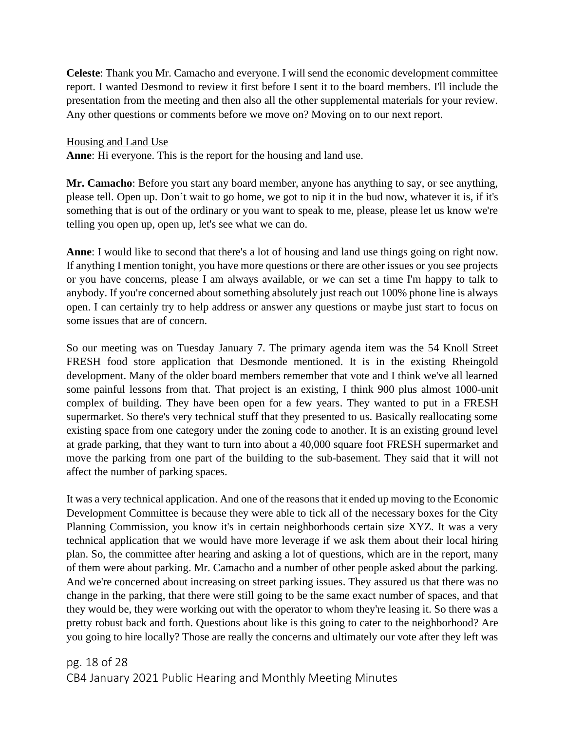**Celeste**: Thank you Mr. Camacho and everyone. I will send the economic development committee report. I wanted Desmond to review it first before I sent it to the board members. I'll include the presentation from the meeting and then also all the other supplemental materials for your review. Any other questions or comments before we move on? Moving on to our next report.

Housing and Land Use

**Anne**: Hi everyone. This is the report for the housing and land use.

**Mr. Camacho**: Before you start any board member, anyone has anything to say, or see anything, please tell. Open up. Don't wait to go home, we got to nip it in the bud now, whatever it is, if it's something that is out of the ordinary or you want to speak to me, please, please let us know we're telling you open up, open up, let's see what we can do.

**Anne**: I would like to second that there's a lot of housing and land use things going on right now. If anything I mention tonight, you have more questions or there are other issues or you see projects or you have concerns, please I am always available, or we can set a time I'm happy to talk to anybody. If you're concerned about something absolutely just reach out 100% phone line is always open. I can certainly try to help address or answer any questions or maybe just start to focus on some issues that are of concern.

So our meeting was on Tuesday January 7. The primary agenda item was the 54 Knoll Street FRESH food store application that Desmonde mentioned. It is in the existing Rheingold development. Many of the older board members remember that vote and I think we've all learned some painful lessons from that. That project is an existing, I think 900 plus almost 1000-unit complex of building. They have been open for a few years. They wanted to put in a FRESH supermarket. So there's very technical stuff that they presented to us. Basically reallocating some existing space from one category under the zoning code to another. It is an existing ground level at grade parking, that they want to turn into about a 40,000 square foot FRESH supermarket and move the parking from one part of the building to the sub-basement. They said that it will not affect the number of parking spaces.

It was a very technical application. And one of the reasons that it ended up moving to the Economic Development Committee is because they were able to tick all of the necessary boxes for the City Planning Commission, you know it's in certain neighborhoods certain size XYZ. It was a very technical application that we would have more leverage if we ask them about their local hiring plan. So, the committee after hearing and asking a lot of questions, which are in the report, many of them were about parking. Mr. Camacho and a number of other people asked about the parking. And we're concerned about increasing on street parking issues. They assured us that there was no change in the parking, that there were still going to be the same exact number of spaces, and that they would be, they were working out with the operator to whom they're leasing it. So there was a pretty robust back and forth. Questions about like is this going to cater to the neighborhood? Are you going to hire locally? Those are really the concerns and ultimately our vote after they left was

pg. 18 of 28 CB4 January 2021 Public Hearing and Monthly Meeting Minutes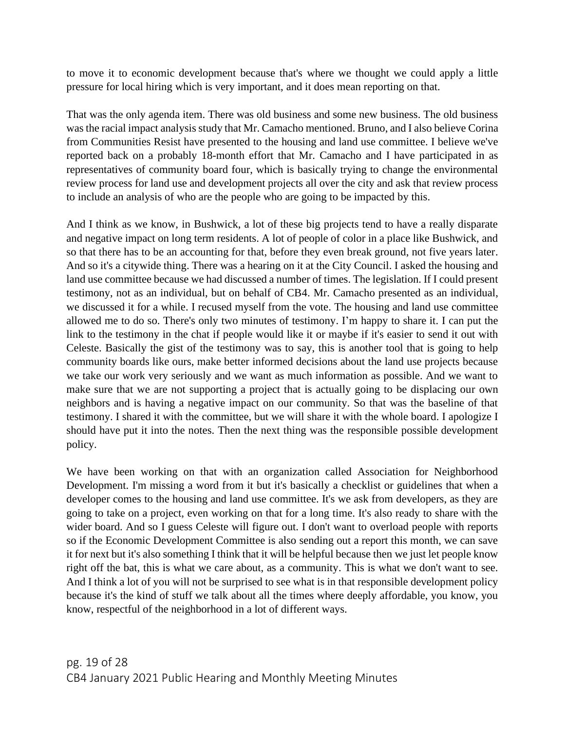to move it to economic development because that's where we thought we could apply a little pressure for local hiring which is very important, and it does mean reporting on that.

That was the only agenda item. There was old business and some new business. The old business was the racial impact analysis study that Mr. Camacho mentioned. Bruno, and I also believe Corina from Communities Resist have presented to the housing and land use committee. I believe we've reported back on a probably 18-month effort that Mr. Camacho and I have participated in as representatives of community board four, which is basically trying to change the environmental review process for land use and development projects all over the city and ask that review process to include an analysis of who are the people who are going to be impacted by this.

And I think as we know, in Bushwick, a lot of these big projects tend to have a really disparate and negative impact on long term residents. A lot of people of color in a place like Bushwick, and so that there has to be an accounting for that, before they even break ground, not five years later. And so it's a citywide thing. There was a hearing on it at the City Council. I asked the housing and land use committee because we had discussed a number of times. The legislation. If I could present testimony, not as an individual, but on behalf of CB4. Mr. Camacho presented as an individual, we discussed it for a while. I recused myself from the vote. The housing and land use committee allowed me to do so. There's only two minutes of testimony. I'm happy to share it. I can put the link to the testimony in the chat if people would like it or maybe if it's easier to send it out with Celeste. Basically the gist of the testimony was to say, this is another tool that is going to help community boards like ours, make better informed decisions about the land use projects because we take our work very seriously and we want as much information as possible. And we want to make sure that we are not supporting a project that is actually going to be displacing our own neighbors and is having a negative impact on our community. So that was the baseline of that testimony. I shared it with the committee, but we will share it with the whole board. I apologize I should have put it into the notes. Then the next thing was the responsible possible development policy.

We have been working on that with an organization called Association for Neighborhood Development. I'm missing a word from it but it's basically a checklist or guidelines that when a developer comes to the housing and land use committee. It's we ask from developers, as they are going to take on a project, even working on that for a long time. It's also ready to share with the wider board. And so I guess Celeste will figure out. I don't want to overload people with reports so if the Economic Development Committee is also sending out a report this month, we can save it for next but it's also something I think that it will be helpful because then we just let people know right off the bat, this is what we care about, as a community. This is what we don't want to see. And I think a lot of you will not be surprised to see what is in that responsible development policy because it's the kind of stuff we talk about all the times where deeply affordable, you know, you know, respectful of the neighborhood in a lot of different ways.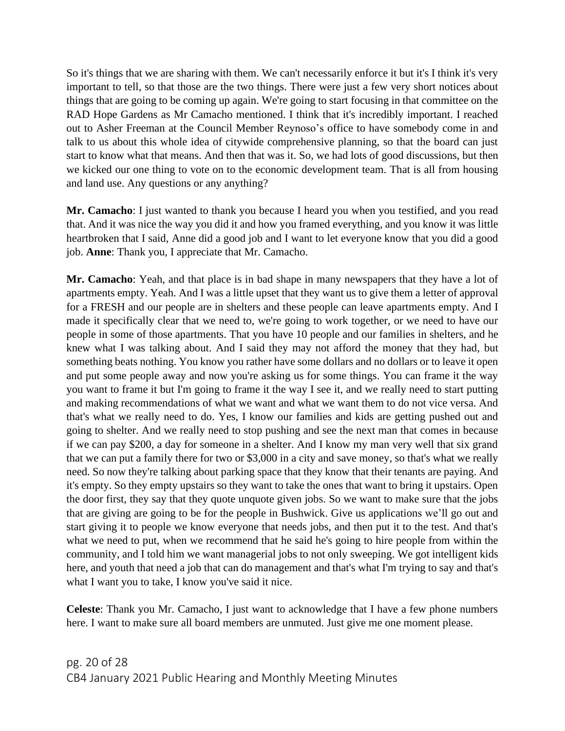So it's things that we are sharing with them. We can't necessarily enforce it but it's I think it's very important to tell, so that those are the two things. There were just a few very short notices about things that are going to be coming up again. We're going to start focusing in that committee on the RAD Hope Gardens as Mr Camacho mentioned. I think that it's incredibly important. I reached out to Asher Freeman at the Council Member Reynoso's office to have somebody come in and talk to us about this whole idea of citywide comprehensive planning, so that the board can just start to know what that means. And then that was it. So, we had lots of good discussions, but then we kicked our one thing to vote on to the economic development team. That is all from housing and land use. Any questions or any anything?

**Mr. Camacho**: I just wanted to thank you because I heard you when you testified, and you read that. And it was nice the way you did it and how you framed everything, and you know it was little heartbroken that I said, Anne did a good job and I want to let everyone know that you did a good job. **Anne**: Thank you, I appreciate that Mr. Camacho.

**Mr. Camacho**: Yeah, and that place is in bad shape in many newspapers that they have a lot of apartments empty. Yeah. And I was a little upset that they want us to give them a letter of approval for a FRESH and our people are in shelters and these people can leave apartments empty. And I made it specifically clear that we need to, we're going to work together, or we need to have our people in some of those apartments. That you have 10 people and our families in shelters, and he knew what I was talking about. And I said they may not afford the money that they had, but something beats nothing. You know you rather have some dollars and no dollars or to leave it open and put some people away and now you're asking us for some things. You can frame it the way you want to frame it but I'm going to frame it the way I see it, and we really need to start putting and making recommendations of what we want and what we want them to do not vice versa. And that's what we really need to do. Yes, I know our families and kids are getting pushed out and going to shelter. And we really need to stop pushing and see the next man that comes in because if we can pay \$200, a day for someone in a shelter. And I know my man very well that six grand that we can put a family there for two or \$3,000 in a city and save money, so that's what we really need. So now they're talking about parking space that they know that their tenants are paying. And it's empty. So they empty upstairs so they want to take the ones that want to bring it upstairs. Open the door first, they say that they quote unquote given jobs. So we want to make sure that the jobs that are giving are going to be for the people in Bushwick. Give us applications we'll go out and start giving it to people we know everyone that needs jobs, and then put it to the test. And that's what we need to put, when we recommend that he said he's going to hire people from within the community, and I told him we want managerial jobs to not only sweeping. We got intelligent kids here, and youth that need a job that can do management and that's what I'm trying to say and that's what I want you to take, I know you've said it nice.

**Celeste**: Thank you Mr. Camacho, I just want to acknowledge that I have a few phone numbers here. I want to make sure all board members are unmuted. Just give me one moment please.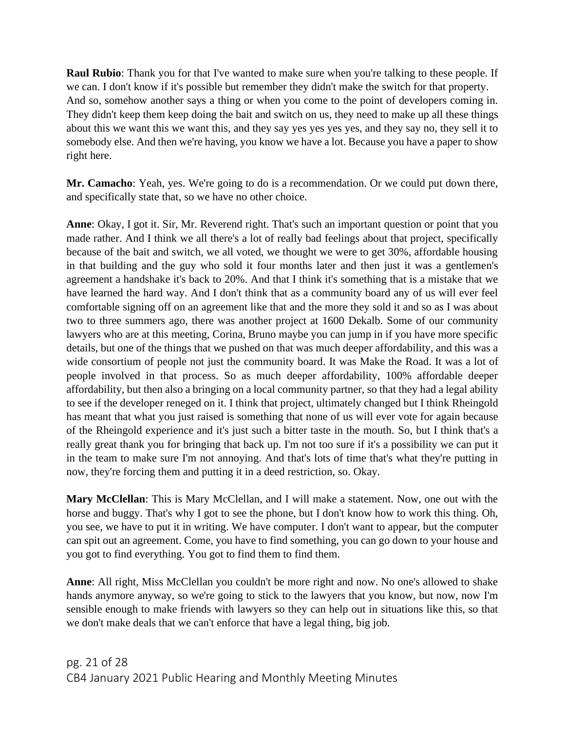**Raul Rubio**: Thank you for that I've wanted to make sure when you're talking to these people. If we can. I don't know if it's possible but remember they didn't make the switch for that property. And so, somehow another says a thing or when you come to the point of developers coming in. They didn't keep them keep doing the bait and switch on us, they need to make up all these things about this we want this we want this, and they say yes yes yes yes, and they say no, they sell it to somebody else. And then we're having, you know we have a lot. Because you have a paper to show right here.

**Mr. Camacho**: Yeah, yes. We're going to do is a recommendation. Or we could put down there, and specifically state that, so we have no other choice.

**Anne**: Okay, I got it. Sir, Mr. Reverend right. That's such an important question or point that you made rather. And I think we all there's a lot of really bad feelings about that project, specifically because of the bait and switch, we all voted, we thought we were to get 30%, affordable housing in that building and the guy who sold it four months later and then just it was a gentlemen's agreement a handshake it's back to 20%. And that I think it's something that is a mistake that we have learned the hard way. And I don't think that as a community board any of us will ever feel comfortable signing off on an agreement like that and the more they sold it and so as I was about two to three summers ago, there was another project at 1600 Dekalb. Some of our community lawyers who are at this meeting, Corina, Bruno maybe you can jump in if you have more specific details, but one of the things that we pushed on that was much deeper affordability, and this was a wide consortium of people not just the community board. It was Make the Road. It was a lot of people involved in that process. So as much deeper affordability, 100% affordable deeper affordability, but then also a bringing on a local community partner, so that they had a legal ability to see if the developer reneged on it. I think that project, ultimately changed but I think Rheingold has meant that what you just raised is something that none of us will ever vote for again because of the Rheingold experience and it's just such a bitter taste in the mouth. So, but I think that's a really great thank you for bringing that back up. I'm not too sure if it's a possibility we can put it in the team to make sure I'm not annoying. And that's lots of time that's what they're putting in now, they're forcing them and putting it in a deed restriction, so. Okay.

**Mary McClellan**: This is Mary McClellan, and I will make a statement. Now, one out with the horse and buggy. That's why I got to see the phone, but I don't know how to work this thing. Oh, you see, we have to put it in writing. We have computer. I don't want to appear, but the computer can spit out an agreement. Come, you have to find something, you can go down to your house and you got to find everything. You got to find them to find them.

**Anne**: All right, Miss McClellan you couldn't be more right and now. No one's allowed to shake hands anymore anyway, so we're going to stick to the lawyers that you know, but now, now I'm sensible enough to make friends with lawyers so they can help out in situations like this, so that we don't make deals that we can't enforce that have a legal thing, big job.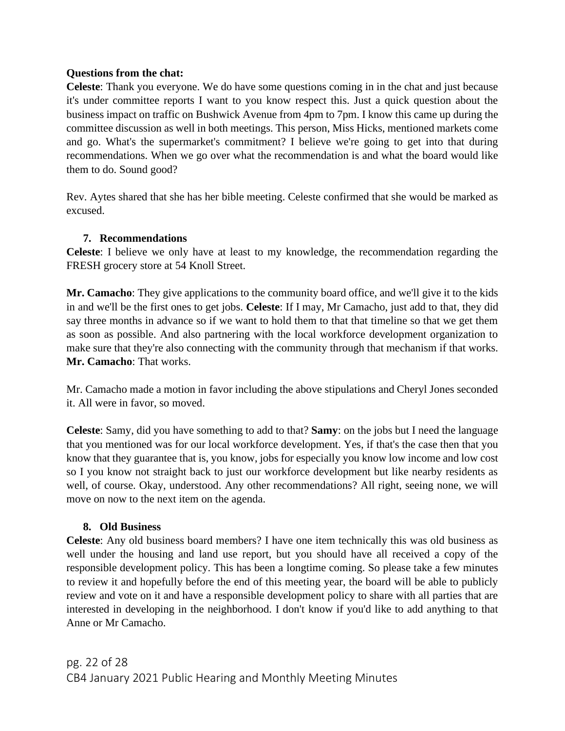#### **Questions from the chat:**

**Celeste**: Thank you everyone. We do have some questions coming in in the chat and just because it's under committee reports I want to you know respect this. Just a quick question about the business impact on traffic on Bushwick Avenue from 4pm to 7pm. I know this came up during the committee discussion as well in both meetings. This person, Miss Hicks, mentioned markets come and go. What's the supermarket's commitment? I believe we're going to get into that during recommendations. When we go over what the recommendation is and what the board would like them to do. Sound good?

Rev. Aytes shared that she has her bible meeting. Celeste confirmed that she would be marked as excused.

## **7. Recommendations**

**Celeste**: I believe we only have at least to my knowledge, the recommendation regarding the FRESH grocery store at 54 Knoll Street.

**Mr. Camacho**: They give applications to the community board office, and we'll give it to the kids in and we'll be the first ones to get jobs. **Celeste**: If I may, Mr Camacho, just add to that, they did say three months in advance so if we want to hold them to that that timeline so that we get them as soon as possible. And also partnering with the local workforce development organization to make sure that they're also connecting with the community through that mechanism if that works. **Mr. Camacho**: That works.

Mr. Camacho made a motion in favor including the above stipulations and Cheryl Jones seconded it. All were in favor, so moved.

**Celeste**: Samy, did you have something to add to that? **Samy**: on the jobs but I need the language that you mentioned was for our local workforce development. Yes, if that's the case then that you know that they guarantee that is, you know, jobs for especially you know low income and low cost so I you know not straight back to just our workforce development but like nearby residents as well, of course. Okay, understood. Any other recommendations? All right, seeing none, we will move on now to the next item on the agenda.

## **8. Old Business**

**Celeste**: Any old business board members? I have one item technically this was old business as well under the housing and land use report, but you should have all received a copy of the responsible development policy. This has been a longtime coming. So please take a few minutes to review it and hopefully before the end of this meeting year, the board will be able to publicly review and vote on it and have a responsible development policy to share with all parties that are interested in developing in the neighborhood. I don't know if you'd like to add anything to that Anne or Mr Camacho.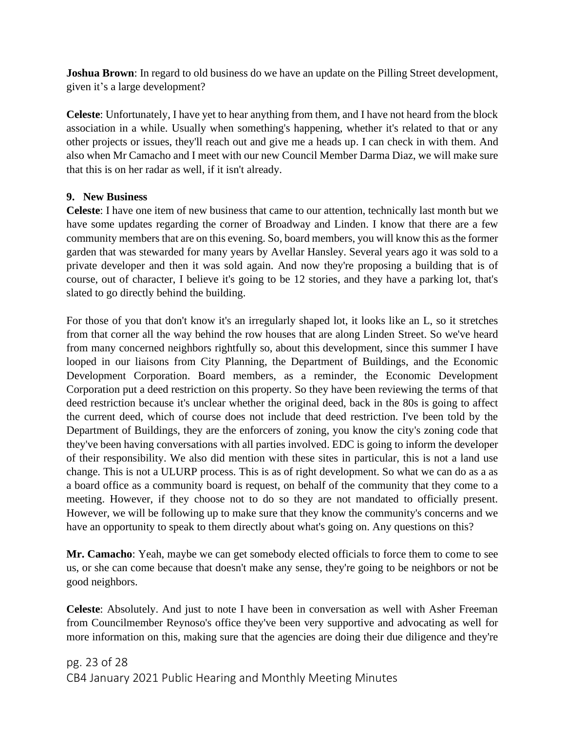**Joshua Brown**: In regard to old business do we have an update on the Pilling Street development, given it's a large development?

**Celeste**: Unfortunately, I have yet to hear anything from them, and I have not heard from the block association in a while. Usually when something's happening, whether it's related to that or any other projects or issues, they'll reach out and give me a heads up. I can check in with them. And also when Mr Camacho and I meet with our new Council Member Darma Diaz, we will make sure that this is on her radar as well, if it isn't already.

#### **9. New Business**

**Celeste**: I have one item of new business that came to our attention, technically last month but we have some updates regarding the corner of Broadway and Linden. I know that there are a few community members that are on this evening. So, board members, you will know this as the former garden that was stewarded for many years by Avellar Hansley. Several years ago it was sold to a private developer and then it was sold again. And now they're proposing a building that is of course, out of character, I believe it's going to be 12 stories, and they have a parking lot, that's slated to go directly behind the building.

For those of you that don't know it's an irregularly shaped lot, it looks like an L, so it stretches from that corner all the way behind the row houses that are along Linden Street. So we've heard from many concerned neighbors rightfully so, about this development, since this summer I have looped in our liaisons from City Planning, the Department of Buildings, and the Economic Development Corporation. Board members, as a reminder, the Economic Development Corporation put a deed restriction on this property. So they have been reviewing the terms of that deed restriction because it's unclear whether the original deed, back in the 80s is going to affect the current deed, which of course does not include that deed restriction. I've been told by the Department of Buildings, they are the enforcers of zoning, you know the city's zoning code that they've been having conversations with all parties involved. EDC is going to inform the developer of their responsibility. We also did mention with these sites in particular, this is not a land use change. This is not a ULURP process. This is as of right development. So what we can do as a as a board office as a community board is request, on behalf of the community that they come to a meeting. However, if they choose not to do so they are not mandated to officially present. However, we will be following up to make sure that they know the community's concerns and we have an opportunity to speak to them directly about what's going on. Any questions on this?

**Mr. Camacho**: Yeah, maybe we can get somebody elected officials to force them to come to see us, or she can come because that doesn't make any sense, they're going to be neighbors or not be good neighbors.

**Celeste**: Absolutely. And just to note I have been in conversation as well with Asher Freeman from Councilmember Reynoso's office they've been very supportive and advocating as well for more information on this, making sure that the agencies are doing their due diligence and they're

pg. 23 of 28 CB4 January 2021 Public Hearing and Monthly Meeting Minutes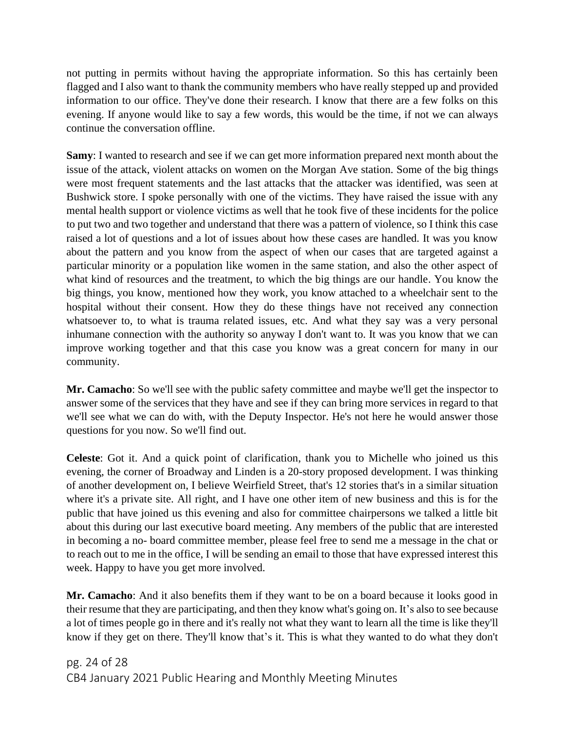not putting in permits without having the appropriate information. So this has certainly been flagged and I also want to thank the community members who have really stepped up and provided information to our office. They've done their research. I know that there are a few folks on this evening. If anyone would like to say a few words, this would be the time, if not we can always continue the conversation offline.

**Samy**: I wanted to research and see if we can get more information prepared next month about the issue of the attack, violent attacks on women on the Morgan Ave station. Some of the big things were most frequent statements and the last attacks that the attacker was identified, was seen at Bushwick store. I spoke personally with one of the victims. They have raised the issue with any mental health support or violence victims as well that he took five of these incidents for the police to put two and two together and understand that there was a pattern of violence, so I think this case raised a lot of questions and a lot of issues about how these cases are handled. It was you know about the pattern and you know from the aspect of when our cases that are targeted against a particular minority or a population like women in the same station, and also the other aspect of what kind of resources and the treatment, to which the big things are our handle. You know the big things, you know, mentioned how they work, you know attached to a wheelchair sent to the hospital without their consent. How they do these things have not received any connection whatsoever to, to what is trauma related issues, etc. And what they say was a very personal inhumane connection with the authority so anyway I don't want to. It was you know that we can improve working together and that this case you know was a great concern for many in our community.

**Mr. Camacho**: So we'll see with the public safety committee and maybe we'll get the inspector to answer some of the services that they have and see if they can bring more services in regard to that we'll see what we can do with, with the Deputy Inspector. He's not here he would answer those questions for you now. So we'll find out.

**Celeste**: Got it. And a quick point of clarification, thank you to Michelle who joined us this evening, the corner of Broadway and Linden is a 20-story proposed development. I was thinking of another development on, I believe Weirfield Street, that's 12 stories that's in a similar situation where it's a private site. All right, and I have one other item of new business and this is for the public that have joined us this evening and also for committee chairpersons we talked a little bit about this during our last executive board meeting. Any members of the public that are interested in becoming a no- board committee member, please feel free to send me a message in the chat or to reach out to me in the office, I will be sending an email to those that have expressed interest this week. Happy to have you get more involved.

**Mr. Camacho**: And it also benefits them if they want to be on a board because it looks good in their resume that they are participating, and then they know what's going on. It's also to see because a lot of times people go in there and it's really not what they want to learn all the time is like they'll know if they get on there. They'll know that's it. This is what they wanted to do what they don't

pg. 24 of 28 CB4 January 2021 Public Hearing and Monthly Meeting Minutes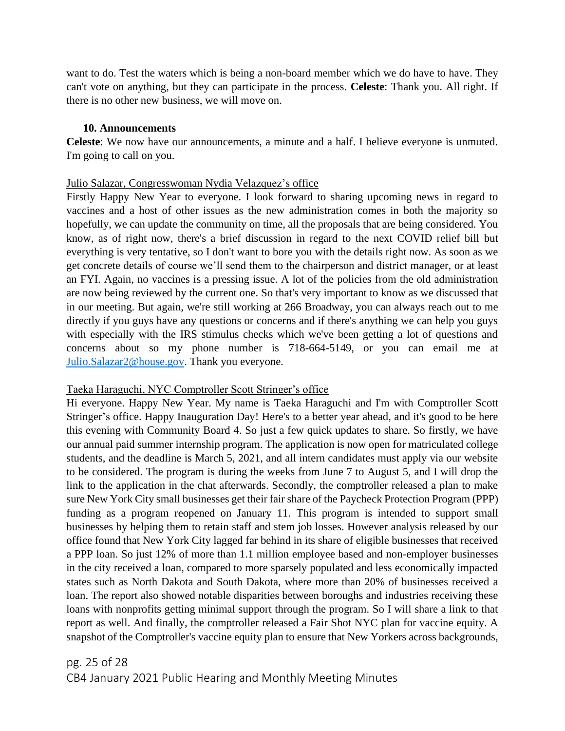want to do. Test the waters which is being a non-board member which we do have to have. They can't vote on anything, but they can participate in the process. **Celeste**: Thank you. All right. If there is no other new business, we will move on.

#### **10. Announcements**

**Celeste**: We now have our announcements, a minute and a half. I believe everyone is unmuted. I'm going to call on you.

#### Julio Salazar, Congresswoman Nydia Velazquez's office

Firstly Happy New Year to everyone. I look forward to sharing upcoming news in regard to vaccines and a host of other issues as the new administration comes in both the majority so hopefully, we can update the community on time, all the proposals that are being considered. You know, as of right now, there's a brief discussion in regard to the next COVID relief bill but everything is very tentative, so I don't want to bore you with the details right now. As soon as we get concrete details of course we'll send them to the chairperson and district manager, or at least an FYI. Again, no vaccines is a pressing issue. A lot of the policies from the old administration are now being reviewed by the current one. So that's very important to know as we discussed that in our meeting. But again, we're still working at 266 Broadway, you can always reach out to me directly if you guys have any questions or concerns and if there's anything we can help you guys with especially with the IRS stimulus checks which we've been getting a lot of questions and concerns about so my phone number is 718-664-5149, or you can email me at [Julio.Salazar2@house.gov.](mailto:Julio.Salazar2@house.gov) Thank you everyone.

#### Taeka Haraguchi, NYC Comptroller Scott Stringer's office

Hi everyone. Happy New Year. My name is Taeka Haraguchi and I'm with Comptroller Scott Stringer's office. Happy Inauguration Day! Here's to a better year ahead, and it's good to be here this evening with Community Board 4. So just a few quick updates to share. So firstly, we have our annual paid summer internship program. The application is now open for matriculated college students, and the deadline is March 5, 2021, and all intern candidates must apply via our website to be considered. The program is during the weeks from June 7 to August 5, and I will drop the link to the application in the chat afterwards. Secondly, the comptroller released a plan to make sure New York City small businesses get their fair share of the Paycheck Protection Program (PPP) funding as a program reopened on January 11. This program is intended to support small businesses by helping them to retain staff and stem job losses. However analysis released by our office found that New York City lagged far behind in its share of eligible businesses that received a PPP loan. So just 12% of more than 1.1 million employee based and non-employer businesses in the city received a loan, compared to more sparsely populated and less economically impacted states such as North Dakota and South Dakota, where more than 20% of businesses received a loan. The report also showed notable disparities between boroughs and industries receiving these loans with nonprofits getting minimal support through the program. So I will share a link to that report as well. And finally, the comptroller released a Fair Shot NYC plan for vaccine equity. A snapshot of the Comptroller's vaccine equity plan to ensure that New Yorkers across backgrounds,

# pg. 25 of 28 CB4 January 2021 Public Hearing and Monthly Meeting Minutes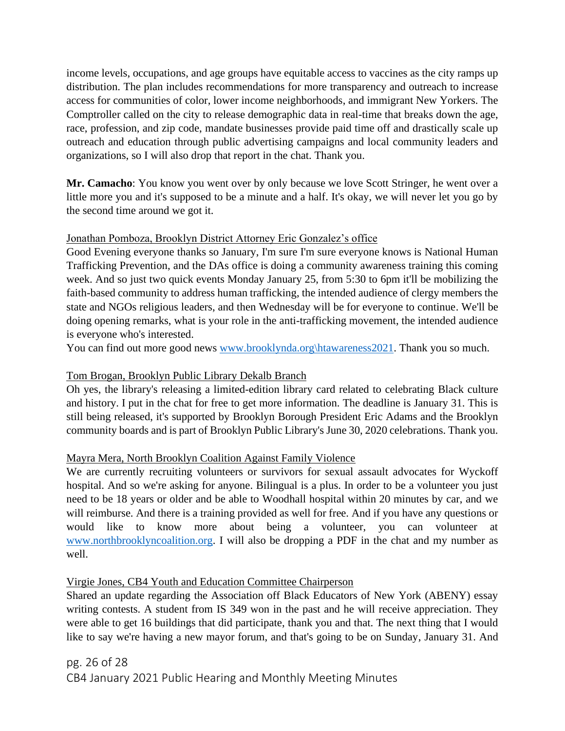income levels, occupations, and age groups have equitable access to vaccines as the city ramps up distribution. The plan includes recommendations for more transparency and outreach to increase access for communities of color, lower income neighborhoods, and immigrant New Yorkers. The Comptroller called on the city to release demographic data in real-time that breaks down the age, race, profession, and zip code, mandate businesses provide paid time off and drastically scale up outreach and education through public advertising campaigns and local community leaders and organizations, so I will also drop that report in the chat. Thank you.

**Mr. Camacho**: You know you went over by only because we love Scott Stringer, he went over a little more you and it's supposed to be a minute and a half. It's okay, we will never let you go by the second time around we got it.

## Jonathan Pomboza, Brooklyn District Attorney Eric Gonzalez's office

Good Evening everyone thanks so January, I'm sure I'm sure everyone knows is National Human Trafficking Prevention, and the DAs office is doing a community awareness training this coming week. And so just two quick events Monday January 25, from 5:30 to 6pm it'll be mobilizing the faith-based community to address human trafficking, the intended audience of clergy members the state and NGOs religious leaders, and then Wednesday will be for everyone to continue. We'll be doing opening remarks, what is your role in the anti-trafficking movement, the intended audience is everyone who's interested.

You can find out more good news [www.brooklynda.org\htawareness2021.](http://www.brooklynda.org/htawareness2021) Thank you so much.

## Tom Brogan, Brooklyn Public Library Dekalb Branch

Oh yes, the library's releasing a limited-edition library card related to celebrating Black culture and history. I put in the chat for free to get more information. The deadline is January 31. This is still being released, it's supported by Brooklyn Borough President Eric Adams and the Brooklyn community boards and is part of Brooklyn Public Library's June 30, 2020 celebrations. Thank you.

## Mayra Mera, North Brooklyn Coalition Against Family Violence

We are currently recruiting volunteers or survivors for sexual assault advocates for Wyckoff hospital. And so we're asking for anyone. Bilingual is a plus. In order to be a volunteer you just need to be 18 years or older and be able to Woodhall hospital within 20 minutes by car, and we will reimburse. And there is a training provided as well for free. And if you have any questions or would like to know more about being a volunteer, you can volunteer at [www.northbrooklyncoalition.org.](http://www.northbrooklyncoalition.org/) I will also be dropping a PDF in the chat and my number as well.

## Virgie Jones, CB4 Youth and Education Committee Chairperson

Shared an update regarding the Association off Black Educators of New York (ABENY) essay writing contests. A student from IS 349 won in the past and he will receive appreciation. They were able to get 16 buildings that did participate, thank you and that. The next thing that I would like to say we're having a new mayor forum, and that's going to be on Sunday, January 31. And

# pg. 26 of 28 CB4 January 2021 Public Hearing and Monthly Meeting Minutes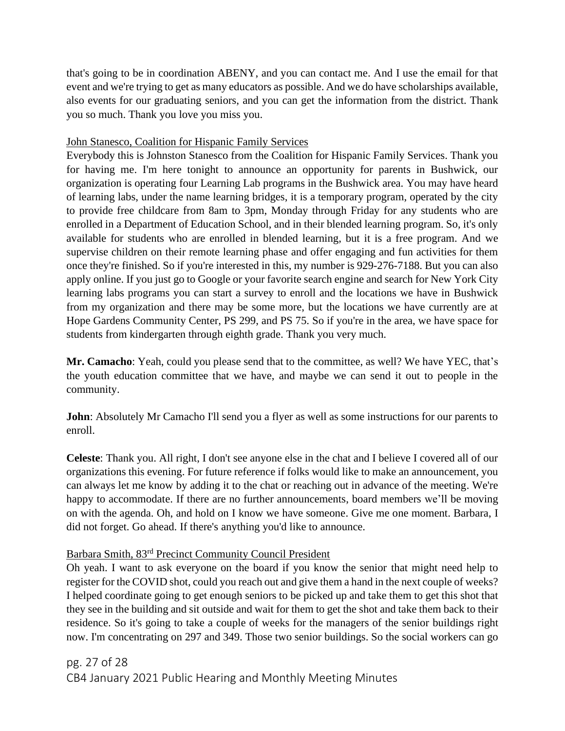that's going to be in coordination ABENY, and you can contact me. And I use the email for that event and we're trying to get as many educators as possible. And we do have scholarships available, also events for our graduating seniors, and you can get the information from the district. Thank you so much. Thank you love you miss you.

## John Stanesco, Coalition for Hispanic Family Services

Everybody this is Johnston Stanesco from the Coalition for Hispanic Family Services. Thank you for having me. I'm here tonight to announce an opportunity for parents in Bushwick, our organization is operating four Learning Lab programs in the Bushwick area. You may have heard of learning labs, under the name learning bridges, it is a temporary program, operated by the city to provide free childcare from 8am to 3pm, Monday through Friday for any students who are enrolled in a Department of Education School, and in their blended learning program. So, it's only available for students who are enrolled in blended learning, but it is a free program. And we supervise children on their remote learning phase and offer engaging and fun activities for them once they're finished. So if you're interested in this, my number is 929-276-7188. But you can also apply online. If you just go to Google or your favorite search engine and search for New York City learning labs programs you can start a survey to enroll and the locations we have in Bushwick from my organization and there may be some more, but the locations we have currently are at Hope Gardens Community Center, PS 299, and PS 75. So if you're in the area, we have space for students from kindergarten through eighth grade. Thank you very much.

**Mr. Camacho**: Yeah, could you please send that to the committee, as well? We have YEC, that's the youth education committee that we have, and maybe we can send it out to people in the community.

**John**: Absolutely Mr Camacho I'll send you a flyer as well as some instructions for our parents to enroll.

**Celeste**: Thank you. All right, I don't see anyone else in the chat and I believe I covered all of our organizations this evening. For future reference if folks would like to make an announcement, you can always let me know by adding it to the chat or reaching out in advance of the meeting. We're happy to accommodate. If there are no further announcements, board members we'll be moving on with the agenda. Oh, and hold on I know we have someone. Give me one moment. Barbara, I did not forget. Go ahead. If there's anything you'd like to announce.

# Barbara Smith, 83rd Precinct Community Council President

Oh yeah. I want to ask everyone on the board if you know the senior that might need help to register for the COVID shot, could you reach out and give them a hand in the next couple of weeks? I helped coordinate going to get enough seniors to be picked up and take them to get this shot that they see in the building and sit outside and wait for them to get the shot and take them back to their residence. So it's going to take a couple of weeks for the managers of the senior buildings right now. I'm concentrating on 297 and 349. Those two senior buildings. So the social workers can go

pg. 27 of 28 CB4 January 2021 Public Hearing and Monthly Meeting Minutes